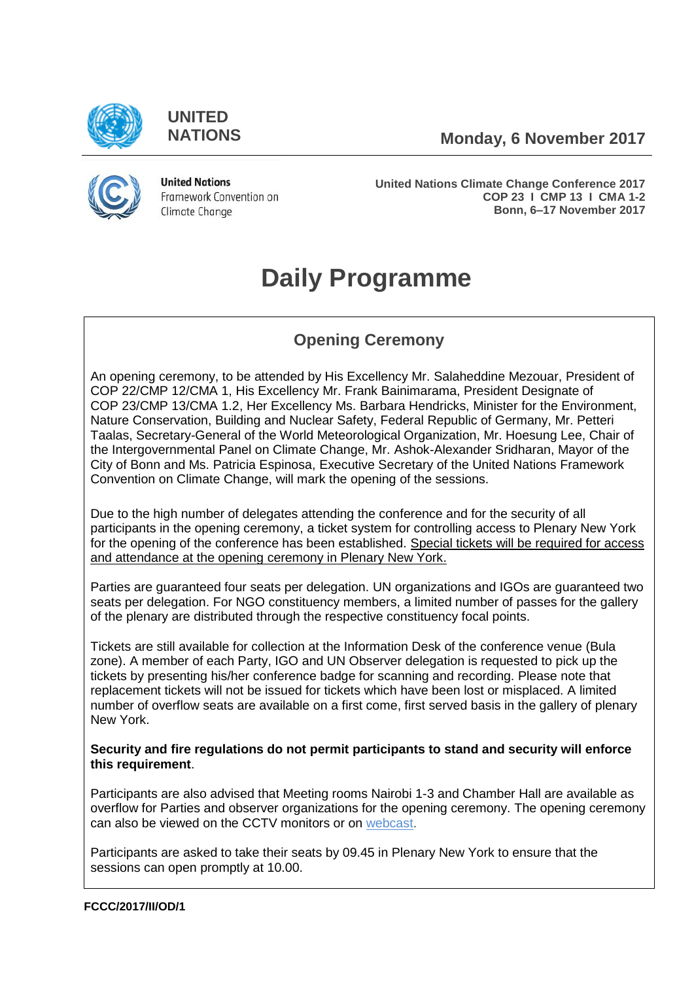

**UNITED**

**NATIONS Monday, 6 November 2017**



**United Nations** Framework Convention on Climate Change

**United Nations Climate Change Conference 2017 COP 23 I CMP 13 I CMA 1-2 Bonn, 6–17 November 2017**

# **Daily Programme**

# **Opening Ceremony**

An opening ceremony, to be attended by His Excellency Mr. Salaheddine Mezouar, President of COP 22/CMP 12/CMA 1, His Excellency Mr. Frank Bainimarama, President Designate of COP 23/CMP 13/CMA 1.2, Her Excellency Ms. Barbara Hendricks, Minister for the Environment, Nature Conservation, Building and Nuclear Safety, Federal Republic of Germany, Mr. Petteri Taalas, Secretary-General of the World Meteorological Organization, Mr. Hoesung Lee, Chair of the Intergovernmental Panel on Climate Change, Mr. Ashok-Alexander Sridharan, Mayor of the City of Bonn and Ms. Patricia Espinosa, Executive Secretary of the United Nations Framework Convention on Climate Change, will mark the opening of the sessions.

Due to the high number of delegates attending the conference and for the security of all participants in the opening ceremony, a ticket system for controlling access to Plenary New York for the opening of the conference has been established. Special tickets will be required for access and attendance at the opening ceremony in Plenary New York.

Parties are guaranteed four seats per delegation. UN organizations and IGOs are guaranteed two seats per delegation. For NGO constituency members, a limited number of passes for the gallery of the plenary are distributed through the respective constituency focal points.

Tickets are still available for collection at the Information Desk of the conference venue (Bula zone). A member of each Party, IGO and UN Observer delegation is requested to pick up the tickets by presenting his/her conference badge for scanning and recording. Please note that replacement tickets will not be issued for tickets which have been lost or misplaced. A limited number of overflow seats are available on a first come, first served basis in the gallery of plenary New York.

# **Security and fire regulations do not permit participants to stand and security will enforce this requirement**.

Participants are also advised that Meeting rooms Nairobi 1-3 and Chamber Hall are available as overflow for Parties and observer organizations for the opening ceremony. The opening ceremony can also be viewed on the CCTV monitors or on [webcast.](http://unfccc.cloud.streamworld.de/ondemand)

Participants are asked to take their seats by 09.45 in Plenary New York to ensure that the sessions can open promptly at 10.00.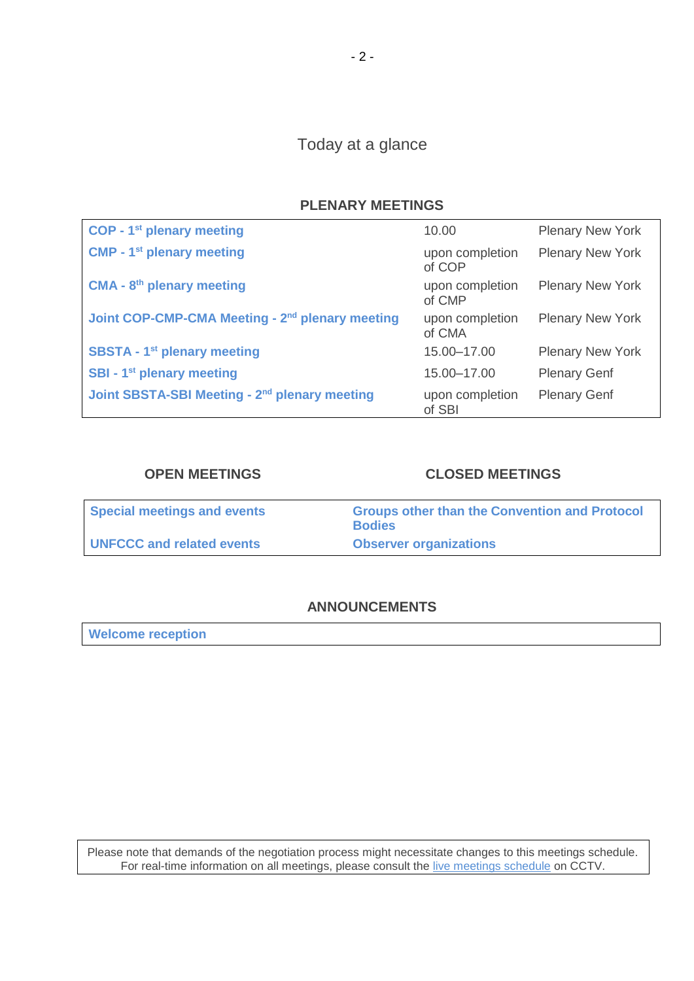# Today at a glance

# **PLENARY MEETINGS**

| <b>COP - 1st plenary meeting</b>                            | 10.00                     | <b>Plenary New York</b> |
|-------------------------------------------------------------|---------------------------|-------------------------|
| <b>CMP - 1st plenary meeting</b>                            | upon completion<br>of COP | <b>Plenary New York</b> |
| <b>CMA - 8th plenary meeting</b>                            | upon completion<br>of CMP | <b>Plenary New York</b> |
| Joint COP-CMP-CMA Meeting - 2 <sup>nd</sup> plenary meeting | upon completion<br>of CMA | <b>Plenary New York</b> |
| <b>SBSTA - 1<sup>st</sup> plenary meeting</b>               | 15.00-17.00               | <b>Plenary New York</b> |
| SBI - 1 <sup>st</sup> plenary meeting                       | 15.00-17.00               | <b>Plenary Genf</b>     |
| Joint SBSTA-SBI Meeting - 2 <sup>nd</sup> plenary meeting   | upon completion<br>of SBI | <b>Plenary Genf</b>     |

# **OPEN MEETINGS CLOSED MEETINGS**

| <b>Special meetings and events</b> | <b>Groups other than the Convention and Protocol</b><br><b>Bodies</b> |
|------------------------------------|-----------------------------------------------------------------------|
| <b>UNFCCC and related events</b>   | <b>Observer organizations</b>                                         |

# **ANNOUNCEMENTS**

**[Welcome reception](#page-11-0)**

Please note that demands of the negotiation process might necessitate changes to this meetings schedule. For real-time information on all meetings, please consult the [live meetings schedule](https://grandreserva.unfccc.int/grandreserva/public/schedule?time=2017%2F11%2F06&conference_id=70&meeting_type=&body=&webcast=0) on CCTV.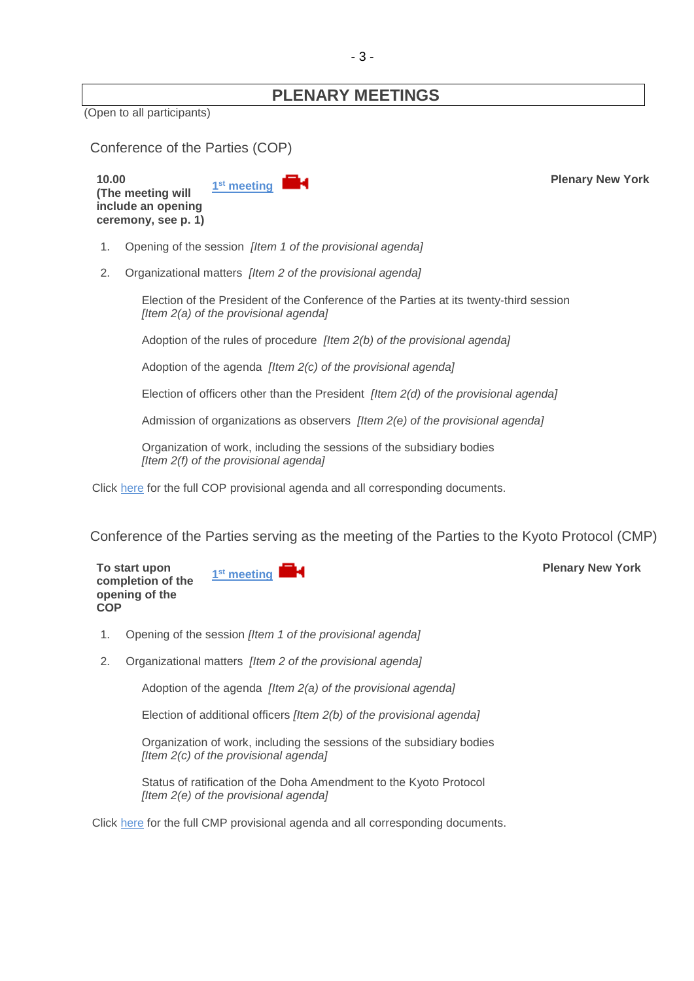# **PLENARY MEETINGS**

(Open to all participants)

<span id="page-2-0"></span>

| Conference of the Parties (COP) |  |  |  |
|---------------------------------|--|--|--|
|---------------------------------|--|--|--|

**10.00 (The meeting will include an opening ceremony, see p. 1)** 1<sup>st</sup> meeting

1. Opening of the session *[Item 1 of the provisional agenda]*

2. Organizational matters *[Item 2 of the provisional agenda]*

Election of the President of the Conference of the Parties at its twenty-third session *[Item 2(a) of the provisional agenda]*

Adoption of the rules of procedure *[Item 2(b) of the provisional agenda]*

Adoption of the agenda *[Item 2(c) of the provisional agenda]*

Election of officers other than the President *[Item 2(d) of the provisional agenda]*

Admission of organizations as observers *[Item 2(e) of the provisional agenda]*

Organization of work, including the sessions of the subsidiary bodies *[Item 2(f) of the provisional agenda]*

Click [here](http://unfccc.int/meetings/bonn_nov_2017/session/10376/php/view/documents.php#c) for the full COP provisional agenda and all corresponding documents.

<span id="page-2-1"></span>Conference of the Parties serving as the meeting of the Parties to the Kyoto Protocol (CMP)

**To start upon completion of the opening of the COP** 1<sup>st</sup> meeting **Plenary New York** 

- 1. Opening of the session *[Item 1 of the provisional agenda]*
- 2. Organizational matters *[Item 2 of the provisional agenda]*

Adoption of the agenda *[Item 2(a) of the provisional agenda]*

Election of additional officers *[Item 2(b) of the provisional agenda]*

Organization of work, including the sessions of the subsidiary bodies *[Item 2(c) of the provisional agenda]*

Status of ratification of the Doha Amendment to the Kyoto Protocol *[Item 2(e) of the provisional agenda]*

Click [here](http://unfccc.int/meetings/bonn_nov_2017/session/10377/php/view/documents.php#c) for the full CMP provisional agenda and all corresponding documents.

**Plenary New York**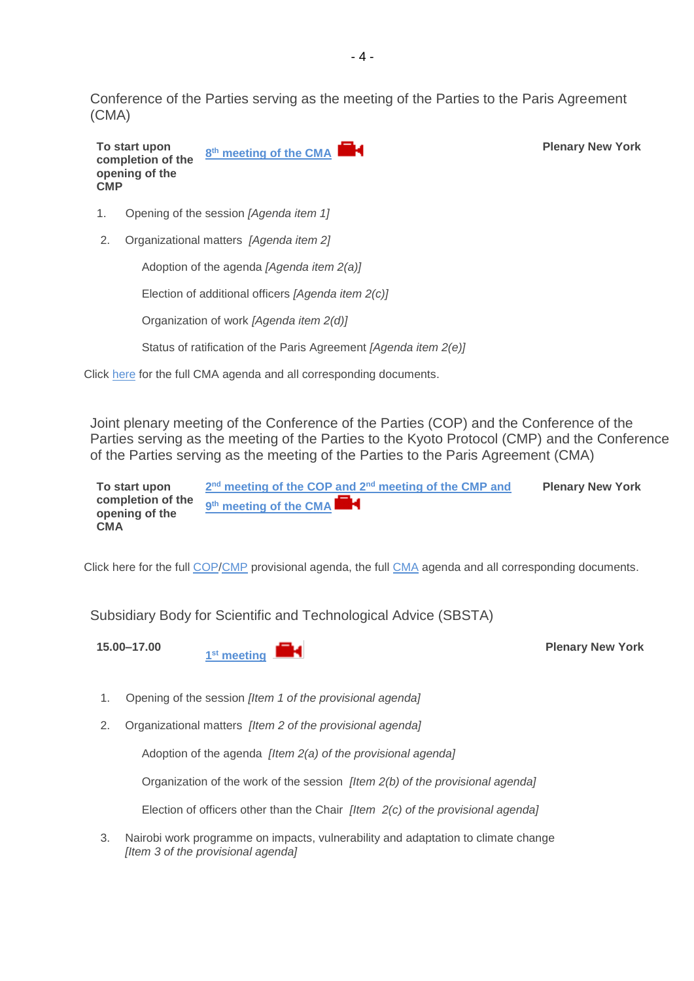<span id="page-3-0"></span>Conference of the Parties serving as the meeting of the Parties to the Paris Agreement (CMA)

**To start upon completion of the opening of the CMP 8 th [meeting of the CMA](http://unfccc.cloud.streamworld.de/ondemand) Plenary New York**

- 1. Opening of the session *[Agenda item 1]*
- 2. Organizational matters *[Agenda item 2]*

Adoption of the agenda *[Agenda item 2(a)]*

Election of additional officers *[Agenda item 2(c)]*

Organization of work *[Agenda item 2(d)]*

Status of ratification of the Paris Agreement *[Agenda item 2(e)]*

Click [here](http://unfccc.int/meetings/bonn_nov_2017/session/10378/php/view/agenda.php#c) for the full CMA agenda and all corresponding documents.

Joint plenary meeting of the Conference of the Parties (COP) and the Conference of the Parties serving as the meeting of the Parties to the Kyoto Protocol (CMP) and the Conference of the Parties serving as the meeting of the Parties to the Paris Agreement (CMA)

**To start upon completion of the opening of the CMA 2 nd [meeting of the COP and 2](http://unfccc.cloud.streamworld.de/ondemand)nd meeting of the CMP and 9 th meeting of the CMA Plenary New York**

Click [here](http://unfccc.int/meetings/lima_dec_2014/session/8531/php/view/documents.php) for the full [COP/](http://unfccc.int/meetings/bonn_nov_2017/session/10376/php/view/documents.php#c)[CMP](http://unfccc.int/meetings/bonn_nov_2017/session/10377/php/view/documents.php#c) provisional agenda, the full [CMA](http://unfccc.int/meetings/bonn_nov_2017/session/10378/php/view/agenda.php#c) agenda and all corresponding documents.

<span id="page-3-1"></span>Subsidiary Body for Scientific and Technological Advice (SBSTA)

**15.00–17.00**

**1 st [meeting](http://unfccc.cloud.streamworld.de/ondemand)** 

**Plenary New York**

- 1. Opening of the session *[Item 1 of the provisional agenda]*
- 2. Organizational matters *[Item 2 of the provisional agenda]*

Adoption of the agenda *[Item 2(a) of the provisional agenda]*

Organization of the work of the session *[Item 2(b) of the provisional agenda]*

Election of officers other than the Chair *[Item 2(c) of the provisional agenda]*

3. Nairobi work programme on impacts, vulnerability and adaptation to climate change *[Item 3 of the provisional agenda]*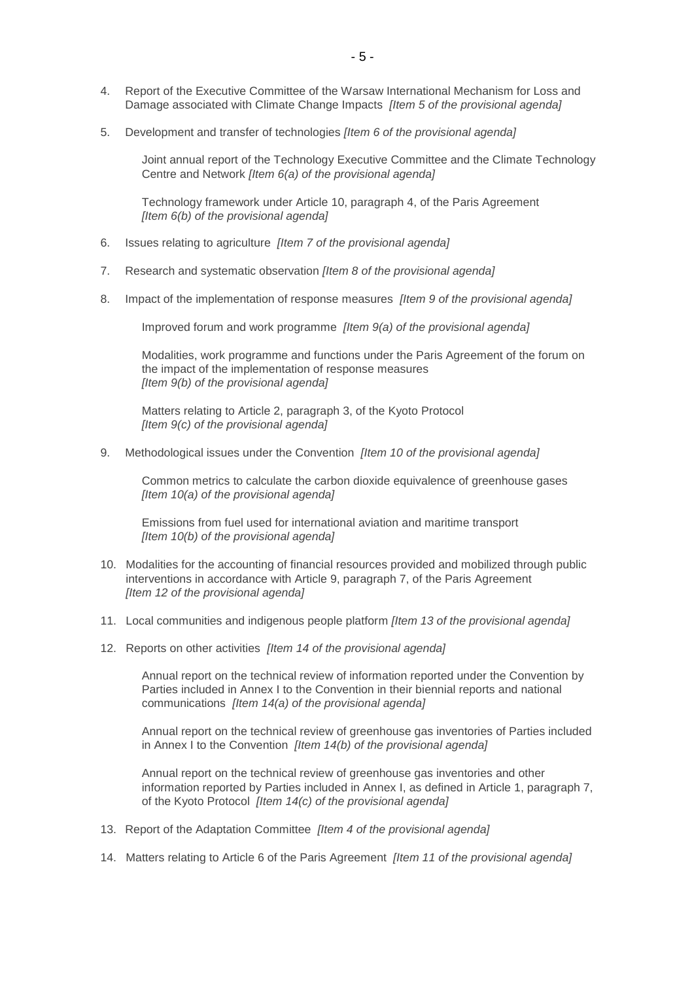- 4. Report of the Executive Committee of the Warsaw International Mechanism for Loss and Damage associated with Climate Change Impacts *[Item 5 of the provisional agenda]*
- 5. Development and transfer of technologies *[Item 6 of the provisional agenda]*

Joint annual report of the Technology Executive Committee and the Climate Technology Centre and Network *[Item 6(a) of the provisional agenda]*

Technology framework under Article 10, paragraph 4, of the Paris Agreement *[Item 6(b) of the provisional agenda]*

- 6. Issues relating to agriculture *[Item 7 of the provisional agenda]*
- 7. Research and systematic observation *[Item 8 of the provisional agenda]*
- 8. Impact of the implementation of response measures *[Item 9 of the provisional agenda]*

Improved forum and work programme *[Item 9(a) of the provisional agenda]*

Modalities, work programme and functions under the Paris Agreement of the forum on the impact of the implementation of response measures *[Item 9(b) of the provisional agenda]*

Matters relating to Article 2, paragraph 3, of the Kyoto Protocol *[Item 9(c) of the provisional agenda]*

9. Methodological issues under the Convention *[Item 10 of the provisional agenda]*

Common metrics to calculate the carbon dioxide equivalence of greenhouse gases *[Item 10(a) of the provisional agenda]*

Emissions from fuel used for international aviation and maritime transport *[Item 10(b) of the provisional agenda]*

- 10. Modalities for the accounting of financial resources provided and mobilized through public interventions in accordance with Article 9, paragraph 7, of the Paris Agreement *[Item 12 of the provisional agenda]*
- 11. Local communities and indigenous people platform *[Item 13 of the provisional agenda]*
- 12. Reports on other activities *[Item 14 of the provisional agenda]*

Annual report on the technical review of information reported under the Convention by Parties included in Annex I to the Convention in their biennial reports and national communications *[Item 14(a) of the provisional agenda]*

Annual report on the technical review of greenhouse gas inventories of Parties included in Annex I to the Convention *[Item 14(b) of the provisional agenda]*

Annual report on the technical review of greenhouse gas inventories and other information reported by Parties included in Annex I, as defined in Article 1, paragraph 7, of the Kyoto Protocol *[Item 14(c) of the provisional agenda]*

- 13. Report of the Adaptation Committee *[Item 4 of the provisional agenda]*
- 14. Matters relating to Article 6 of the Paris Agreement *[Item 11 of the provisional agenda]*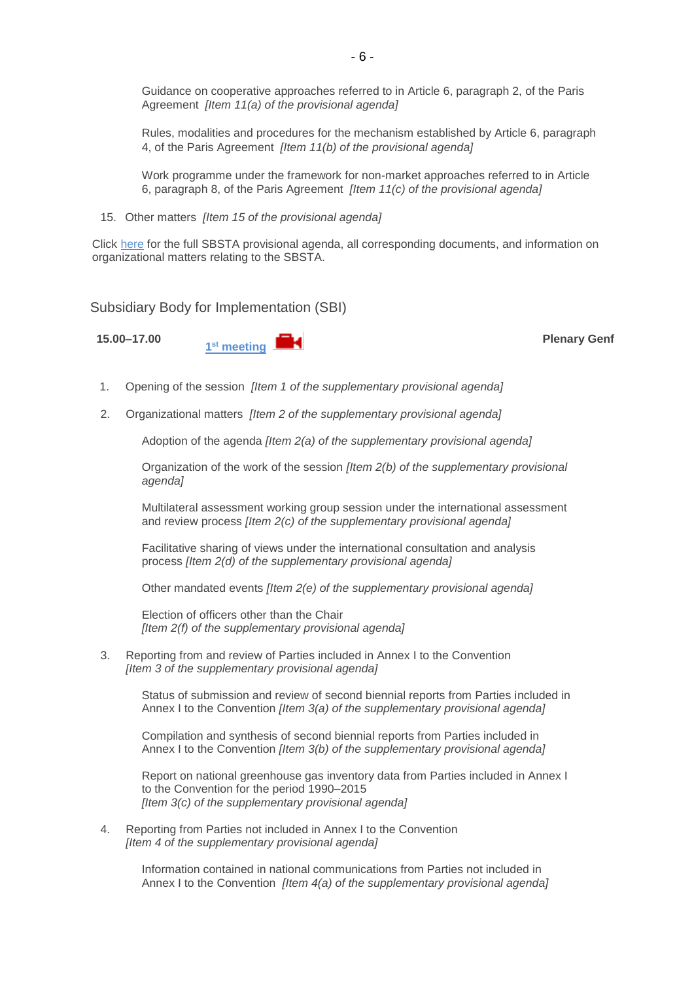Guidance on cooperative approaches referred to in Article 6, paragraph 2, of the Paris Agreement *[Item 11(a) of the provisional agenda]*

Rules, modalities and procedures for the mechanism established by Article 6, paragraph 4, of the Paris Agreement *[Item 11(b) of the provisional agenda]*

Work programme under the framework for non-market approaches referred to in Article 6, paragraph 8, of the Paris Agreement *[Item 11(c) of the provisional agenda]*

15. Other matters *[Item 15 of the provisional agenda]*

Click [here](http://unfccc.int/meetings/bonn_nov_2017/session/10380/php/view/documents.php#c) for the full SBSTA provisional agenda, all corresponding documents, and information on organizational matters relating to the SBSTA.

<span id="page-5-0"></span>Subsidiary Body for Implementation (SBI)

**15.00–17.00**



**Plenary Genf**

- 1. Opening of the session *[Item 1 of the supplementary provisional agenda]*
- 2. Organizational matters *[Item 2 of the supplementary provisional agenda]*

Adoption of the agenda *[Item 2(a) of the supplementary provisional agenda]*

Organization of the work of the session *[Item 2(b) of the supplementary provisional agenda]*

Multilateral assessment working group session under the international assessment and review process *[Item 2(c) of the supplementary provisional agenda]*

Facilitative sharing of views under the international consultation and analysis process *[Item 2(d) of the supplementary provisional agenda]*

Other mandated events *[Item 2(e) of the supplementary provisional agenda]*

Election of officers other than the Chair *[Item 2(f) of the supplementary provisional agenda]*

3. Reporting from and review of Parties included in Annex I to the Convention *[Item 3 of the supplementary provisional agenda]*

> Status of submission and review of second biennial reports from Parties included in Annex I to the Convention *[Item 3(a) of the supplementary provisional agenda]*

Compilation and synthesis of second biennial reports from Parties included in Annex I to the Convention *[Item 3(b) of the supplementary provisional agenda]*

Report on national greenhouse gas inventory data from Parties included in Annex I to the Convention for the period 1990–2015 *[Item 3(c) of the supplementary provisional agenda]*

4. Reporting from Parties not included in Annex I to the Convention *[Item 4 of the supplementary provisional agenda]*

> Information contained in national communications from Parties not included in Annex I to the Convention *[Item 4(a) of the supplementary provisional agenda]*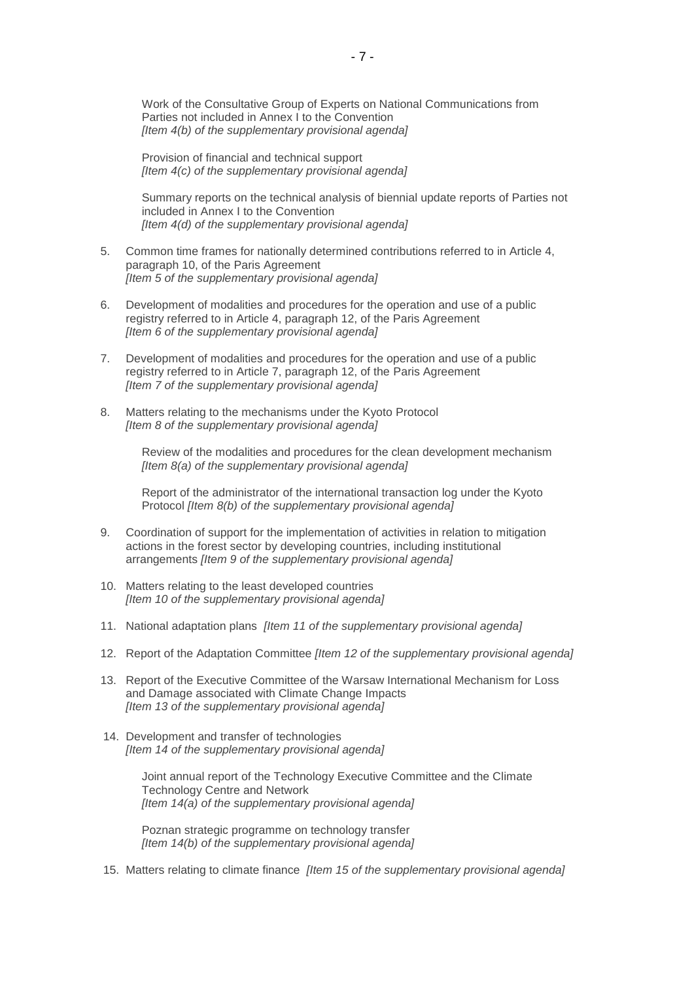Work of the Consultative Group of Experts on National Communications from Parties not included in Annex I to the Convention *[Item 4(b) of the supplementary provisional agenda]*

Provision of financial and technical support *[Item 4(c) of the supplementary provisional agenda]*

Summary reports on the technical analysis of biennial update reports of Parties not included in Annex I to the Convention *[Item 4(d) of the supplementary provisional agenda]*

- 5. Common time frames for nationally determined contributions referred to in Article 4, paragraph 10, of the Paris Agreement *[Item 5 of the supplementary provisional agenda]*
- 6. Development of modalities and procedures for the operation and use of a public registry referred to in Article 4, paragraph 12, of the Paris Agreement *[Item 6 of the supplementary provisional agenda]*
- 7. Development of modalities and procedures for the operation and use of a public registry referred to in Article 7, paragraph 12, of the Paris Agreement *[Item 7 of the supplementary provisional agenda]*
- 8. Matters relating to the mechanisms under the Kyoto Protocol *[Item 8 of the supplementary provisional agenda]*

Review of the modalities and procedures for the clean development mechanism *[Item 8(a) of the supplementary provisional agenda]*

Report of the administrator of the international transaction log under the Kyoto Protocol *[Item 8(b) of the supplementary provisional agenda]*

- 9. Coordination of support for the implementation of activities in relation to mitigation actions in the forest sector by developing countries, including institutional arrangements *[Item 9 of the supplementary provisional agenda]*
- 10. Matters relating to the least developed countries *[Item 10 of the supplementary provisional agenda]*
- 11. National adaptation plans *[Item 11 of the supplementary provisional agenda]*
- 12. Report of the Adaptation Committee *[Item 12 of the supplementary provisional agenda]*
- 13. Report of the Executive Committee of the Warsaw International Mechanism for Loss and Damage associated with Climate Change Impacts *[Item 13 of the supplementary provisional agenda]*
- 14. Development and transfer of technologies *[Item 14 of the supplementary provisional agenda]*

Joint annual report of the Technology Executive Committee and the Climate Technology Centre and Network *[Item 14(a) of the supplementary provisional agenda]*

Poznan strategic programme on technology transfer *[Item 14(b) of the supplementary provisional agenda]*

15. Matters relating to climate finance *[Item 15 of the supplementary provisional agenda]*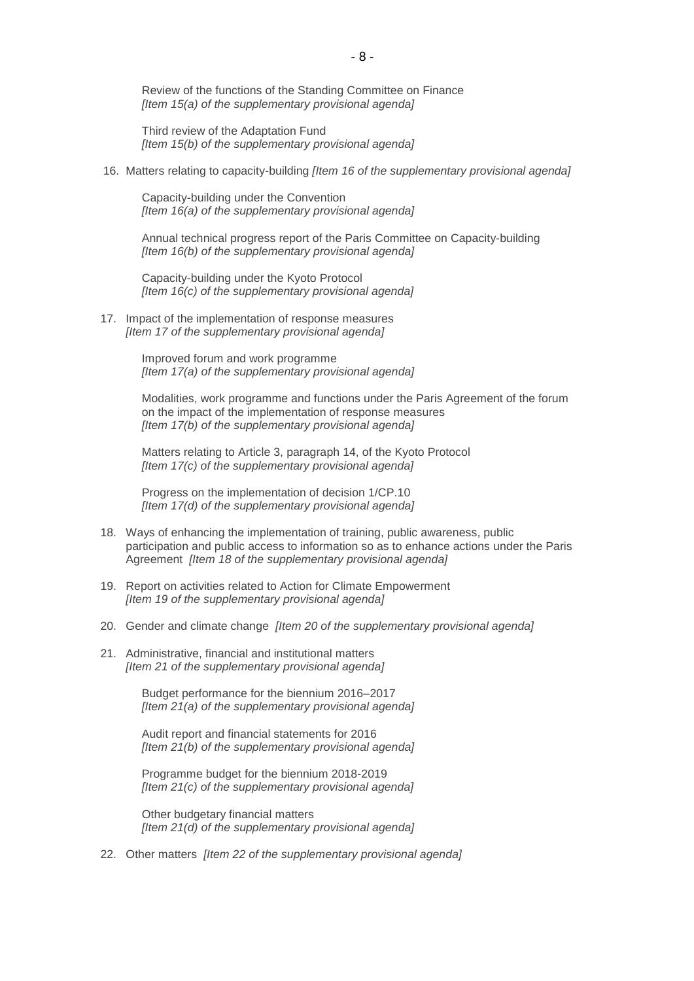Review of the functions of the Standing Committee on Finance *[Item 15(a) of the supplementary provisional agenda]*

Third review of the Adaptation Fund *[Item 15(b) of the supplementary provisional agenda]*

16. Matters relating to capacity-building *[Item 16 of the supplementary provisional agenda]*

Capacity-building under the Convention *[Item 16(a) of the supplementary provisional agenda]*

Annual technical progress report of the Paris Committee on Capacity-building *[Item 16(b) of the supplementary provisional agenda]*

Capacity-building under the Kyoto Protocol *[Item 16(c) of the supplementary provisional agenda]*

17. Impact of the implementation of response measures *[Item 17 of the supplementary provisional agenda]*

> Improved forum and work programme *[Item 17(a) of the supplementary provisional agenda]*

Modalities, work programme and functions under the Paris Agreement of the forum on the impact of the implementation of response measures *[Item 17(b) of the supplementary provisional agenda]*

Matters relating to Article 3, paragraph 14, of the Kyoto Protocol *[Item 17(c) of the supplementary provisional agenda]*

Progress on the implementation of decision 1/CP.10 *[Item 17(d) of the supplementary provisional agenda]*

- 18. Ways of enhancing the implementation of training, public awareness, public participation and public access to information so as to enhance actions under the Paris Agreement *[Item 18 of the supplementary provisional agenda]*
- 19. Report on activities related to Action for Climate Empowerment *[Item 19 of the supplementary provisional agenda]*
- 20. Gender and climate change *[Item 20 of the supplementary provisional agenda]*
- 21. Administrative, financial and institutional matters *[Item 21 of the supplementary provisional agenda]*

Budget performance for the biennium 2016–2017 *[Item 21(a) of the supplementary provisional agenda]*

Audit report and financial statements for 2016 *[Item 21(b) of the supplementary provisional agenda]*

Programme budget for the biennium 2018-2019 *[Item 21(c) of the supplementary provisional agenda]*

Other budgetary financial matters *[Item 21(d) of the supplementary provisional agenda]*

22. Other matters *[Item 22 of the supplementary provisional agenda]*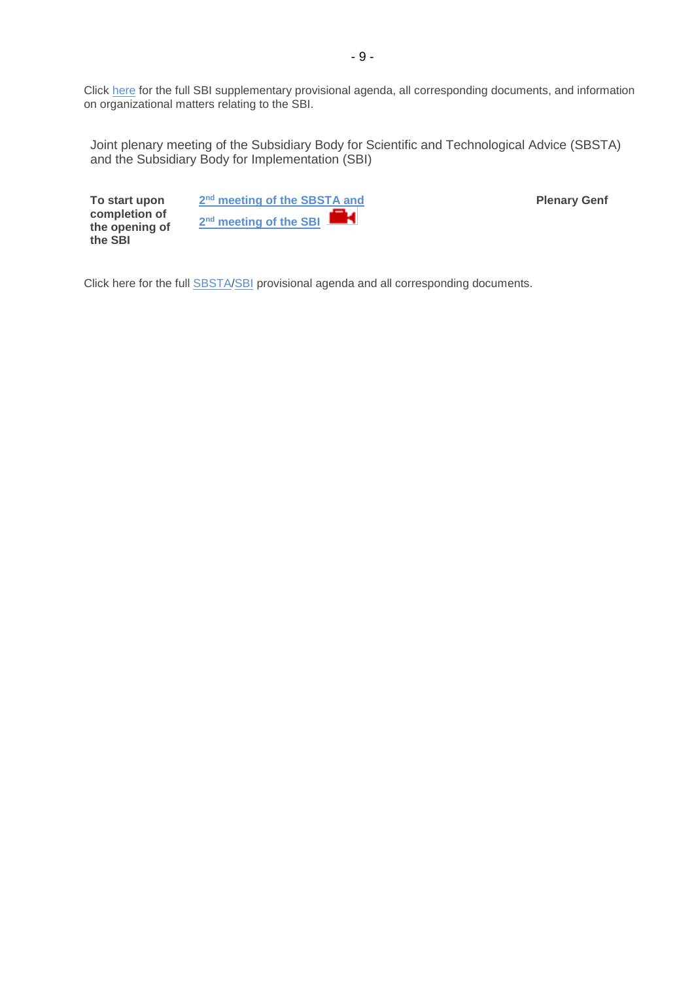Click [here](http://unfccc.int/meetings/bonn_nov_2017/session/10379/php/view/documents.php#c) for the full SBI supplementary provisional agenda, all corresponding documents, and information on organizational matters relating to the SBI.

<span id="page-8-0"></span>Joint plenary meeting of the Subsidiary Body for Scientific and Technological Advice (SBSTA) and the Subsidiary Body for Implementation (SBI)

**To start upon completion of the opening of the SBI**

**2 nd [meeting of the SBSTA and](http://unfccc.cloud.streamworld.de/ondemand)**  К **2 nd [meeting of the SBI](http://unfccc.cloud.streamworld.de/ondemand)**

**Plenary Genf**

Click [here](http://unfccc.int/meetings/lima_dec_2014/session/8531/php/view/documents.php) for the full **SBSTA[/SBI](http://unfccc.int/meetings/bonn_nov_2017/session/10379/php/view/documents.php#c)** provisional agenda and all corresponding documents.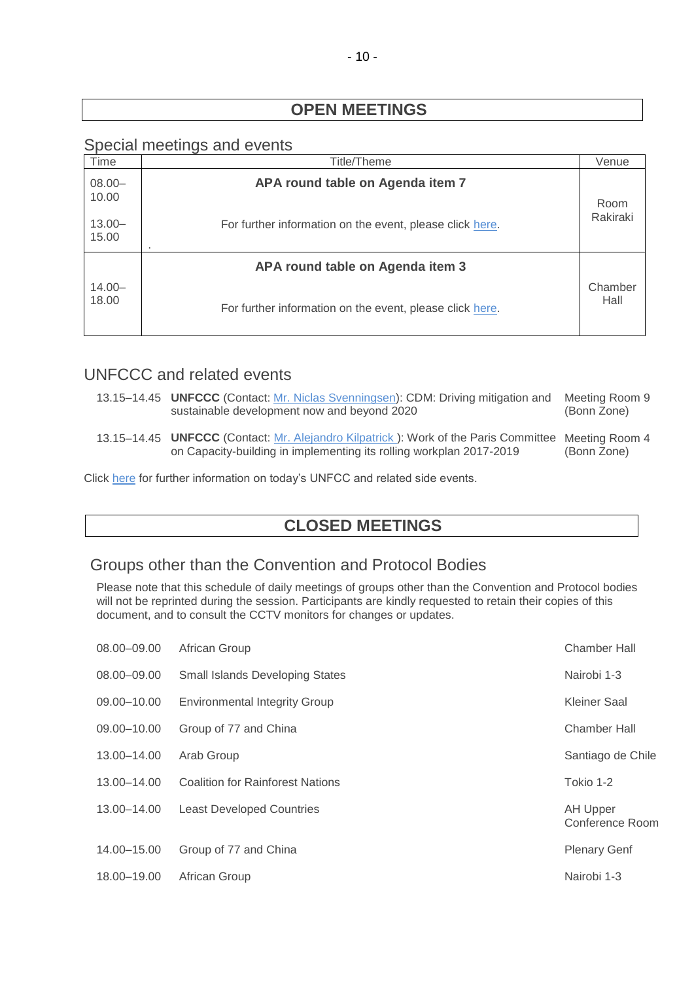# **OPEN MEETINGS**

# <span id="page-9-0"></span>Special meetings and events

| Time               | Title/Theme                                              | Venue           |
|--------------------|----------------------------------------------------------|-----------------|
| $08.00 -$<br>10.00 | APA round table on Agenda item 7                         | Room            |
| $13.00 -$<br>15.00 | For further information on the event, please click here. | Rakiraki        |
|                    | APA round table on Agenda item 3                         |                 |
| $14.00 -$<br>18.00 | For further information on the event, please click here. | Chamber<br>Hall |

# <span id="page-9-2"></span>UNFCCC and related events

| 13.15–14.45 <b>UNFCCC</b> (Contact: Mr. Niclas Svenningsen): CDM: Driving mitigation and<br>sustainable development now and beyond 2020                                   | Meeting Room 9<br>(Bonn Zone) |
|---------------------------------------------------------------------------------------------------------------------------------------------------------------------------|-------------------------------|
| 13.15–14.45 UNFCCC (Contact: Mr. Alejandro Kilpatrick): Work of the Paris Committee Meeting Room 4<br>on Capacity-building in implementing its rolling workplan 2017-2019 | (Bonn Zone)                   |

Click [here](https://seors.unfccc.int/seors/reports/events_list.html?session_id=COP23) for further information on today's UNFCC and related side events.

# **CLOSED MEETINGS**

# <span id="page-9-1"></span>Groups other than the Convention and Protocol Bodies

Please note that this schedule of daily meetings of groups other than the Convention and Protocol bodies will not be reprinted during the session. Participants are kindly requested to retain their copies of this document, and to consult the CCTV monitors for changes or updates.

| 08.00-09.00 | African Group                           | <b>Chamber Hall</b>                |
|-------------|-----------------------------------------|------------------------------------|
| 08.00-09.00 | <b>Small Islands Developing States</b>  | Nairobi 1-3                        |
| 09.00-10.00 | <b>Environmental Integrity Group</b>    | Kleiner Saal                       |
| 09.00-10.00 | Group of 77 and China                   | Chamber Hall                       |
| 13.00-14.00 | Arab Group                              | Santiago de Chile                  |
| 13.00-14.00 | <b>Coalition for Rainforest Nations</b> | Tokio 1-2                          |
| 13.00-14.00 | <b>Least Developed Countries</b>        | <b>AH Upper</b><br>Conference Room |
| 14.00-15.00 | Group of 77 and China                   | <b>Plenary Genf</b>                |
| 18.00-19.00 | African Group                           | Nairobi 1-3                        |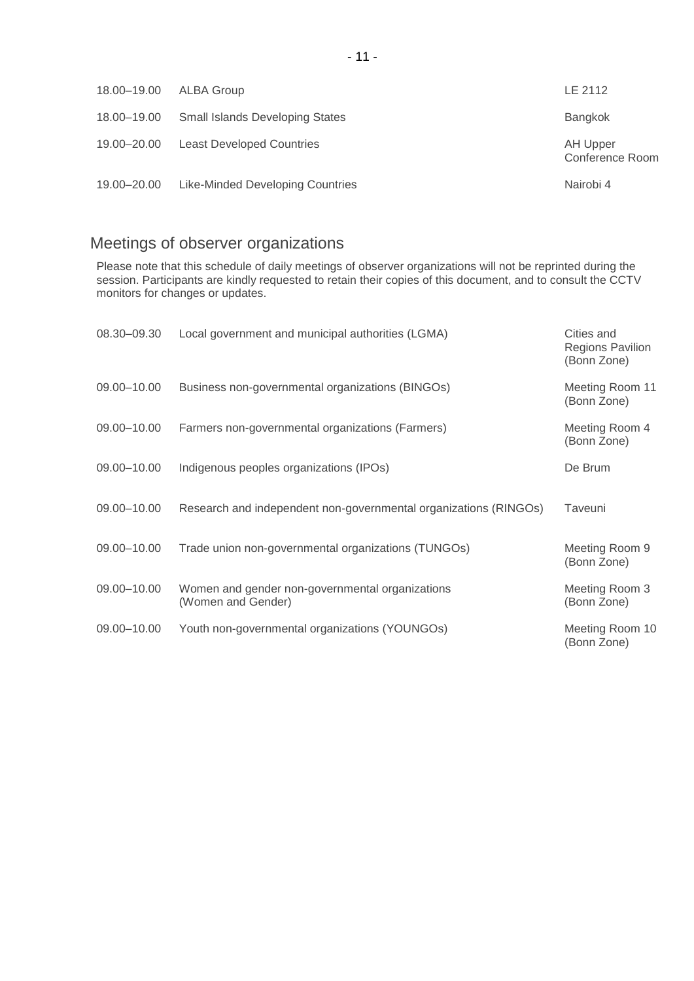| 18.00-19.00 | ALBA Group                             | LE 2112                     |
|-------------|----------------------------------------|-----------------------------|
| 18.00-19.00 | <b>Small Islands Developing States</b> | Bangkok                     |
| 19.00-20.00 | <b>Least Developed Countries</b>       | AH Upper<br>Conference Room |
| 19.00–20.00 | Like-Minded Developing Countries       | Nairobi 4                   |

# <span id="page-10-0"></span>Meetings of observer organizations

Please note that this schedule of daily meetings of observer organizations will not be reprinted during the session. Participants are kindly requested to retain their copies of this document, and to consult the CCTV monitors for changes or updates.

| 08.30-09.30 | Local government and municipal authorities (LGMA)                     | Cities and<br><b>Regions Pavilion</b><br>(Bonn Zone) |
|-------------|-----------------------------------------------------------------------|------------------------------------------------------|
| 09.00-10.00 | Business non-governmental organizations (BINGOs)                      | Meeting Room 11<br>(Bonn Zone)                       |
| 09.00-10.00 | Farmers non-governmental organizations (Farmers)                      | Meeting Room 4<br>(Bonn Zone)                        |
| 09.00-10.00 | Indigenous peoples organizations (IPOs)                               | De Brum                                              |
| 09.00-10.00 | Research and independent non-governmental organizations (RINGOs)      | Taveuni                                              |
| 09.00-10.00 | Trade union non-governmental organizations (TUNGOs)                   | Meeting Room 9<br>(Bonn Zone)                        |
| 09.00-10.00 | Women and gender non-governmental organizations<br>(Women and Gender) | Meeting Room 3<br>(Bonn Zone)                        |
| 09.00-10.00 | Youth non-governmental organizations (YOUNGOs)                        | Meeting Room 10<br>(Bonn Zone)                       |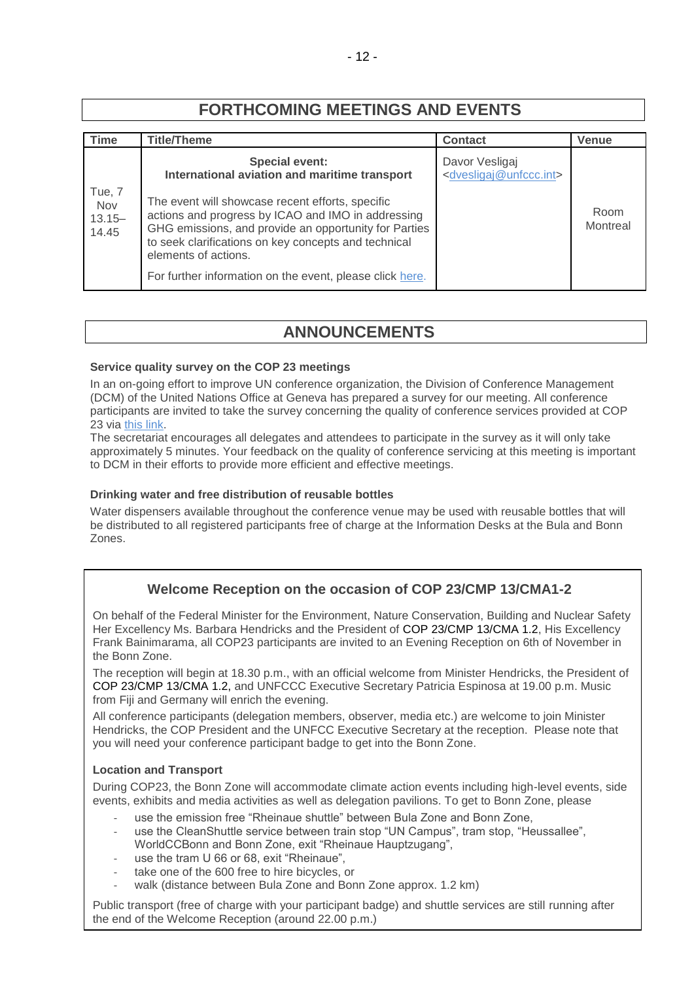# **FORTHCOMING MEETINGS AND EVENTS**

| <b>Time</b>                         | <b>Title/Theme</b>                                                                                                                                                                                                                                                                                          | <b>Contact</b>                                                  | Venue            |
|-------------------------------------|-------------------------------------------------------------------------------------------------------------------------------------------------------------------------------------------------------------------------------------------------------------------------------------------------------------|-----------------------------------------------------------------|------------------|
|                                     | <b>Special event:</b><br>International aviation and maritime transport                                                                                                                                                                                                                                      | Davor Vesligaj<br><dvesligaj@unfccc.int></dvesligaj@unfccc.int> |                  |
| Tue, 7<br>Nov<br>$13.15 -$<br>14.45 | The event will showcase recent efforts, specific<br>actions and progress by ICAO and IMO in addressing<br>GHG emissions, and provide an opportunity for Parties<br>to seek clarifications on key concepts and technical<br>elements of actions.<br>For further information on the event, please click here. |                                                                 | Room<br>Montreal |

# **ANNOUNCEMENTS**

#### <span id="page-11-0"></span>**Service quality survey on the COP 23 meetings**

In an on-going effort to improve UN conference organization, the Division of Conference Management (DCM) of the United Nations Office at Geneva has prepared a survey for our meeting. All conference participants are invited to take the survey concerning the quality of conference services provided at COP 23 via [this](http://conf.unog.ch/dcmsurvey) link.

The secretariat encourages all delegates and attendees to participate in the survey as it will only take approximately 5 minutes. Your feedback on the quality of conference servicing at this meeting is important to DCM in their efforts to provide more efficient and effective meetings.

#### **Drinking water and free distribution of reusable bottles**

Water dispensers available throughout the conference venue may be used with reusable bottles that will be distributed to all registered participants free of charge at the Information Desks at the Bula and Bonn Zones.

# **Welcome Reception on the occasion of COP 23/CMP 13/CMA1-2**

On behalf of the Federal Minister for the Environment, Nature Conservation, Building and Nuclear Safety Her Excellency Ms. Barbara Hendricks and the President of COP 23/CMP 13/CMA 1.2, His Excellency Frank Bainimarama, all COP23 participants are invited to an Evening Reception on 6th of November in the Bonn Zone.

The reception will begin at 18.30 p.m., with an official welcome from Minister Hendricks, the President of COP 23/CMP 13/CMA 1.2, and UNFCCC Executive Secretary Patricia Espinosa at 19.00 p.m. Music from Fiji and Germany will enrich the evening.

All conference participants (delegation members, observer, media etc.) are welcome to join Minister Hendricks, the COP President and the UNFCC Executive Secretary at the reception. Please note that you will need your conference participant badge to get into the Bonn Zone.

# **Location and Transport**

During COP23, the Bonn Zone will accommodate climate action events including high-level events, side events, exhibits and media activities as well as delegation pavilions. To get to Bonn Zone, please

- use the emission free "Rheinaue shuttle" between Bula Zone and Bonn Zone,
- use the CleanShuttle service between train stop "UN Campus", tram stop, "Heussallee", WorldCCBonn and Bonn Zone, exit "Rheinaue Hauptzugang",
- use the tram U 66 or 68, exit "Rheinaue",
- take one of the 600 free to hire bicycles, or
- walk (distance between Bula Zone and Bonn Zone approx. 1.2 km)

Public transport (free of charge with your participant badge) and shuttle services are still running after the end of the Welcome Reception (around 22.00 p.m.)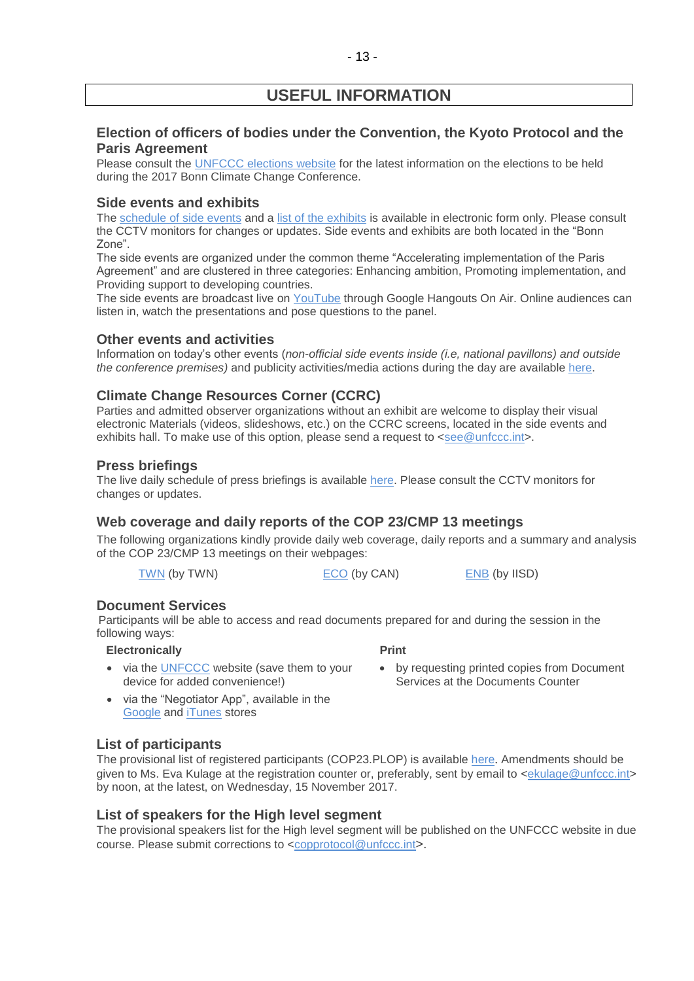# **USEFUL INFORMATION**

# **Election of officers of bodies under the Convention, the Kyoto Protocol and the Paris Agreement**

Please consult the [UNFCCC elections website](http://unfccc.int/6558.php) for the latest information on the elections to be held during the 2017 Bonn Climate Change Conference.

#### **Side events and exhibits**

The [schedule of side events](https://seors.unfccc.int/seors/reports/events_list.html?session_id=COP23) and a [list of the exhibits](https://seors.unfccc.int/seors/reports/exhibits_list.html?session_id=COP23) is available in electronic form only. Please consult the CCTV monitors for changes or updates. Side events and exhibits are both located in the "Bonn Zone".

The side events are organized under the common theme "Accelerating implementation of the Paris Agreement" and are clustered in three categories: Enhancing ambition, Promoting implementation, and Providing support to developing countries.

The side events are broadcast live on [YouTube](https://www.youtube.com/channel/UCSbUPgmmKUTzRmspKM9DpuQ?view_as=subscriber) through Google Hangouts On Air. Online audiences can listen in, watch the presentations and pose questions to the panel.

#### **Other events and activities**

Information on today's other events (*non-official side events inside (i.e, national pavillons) and outside the conference premises)* and publicity activities/media actions during the day are available [here.](https://seors.unfccc.int/seors/reports/events_list.html?session_id=CEvents)

# **Climate Change Resources Corner (CCRC)**

Parties and admitted observer organizations without an exhibit are welcome to display their visual electronic Materials (videos, slideshows, etc.) on the CCRC screens, located in the side events and exhibits hall. To make use of this option, please send a request to  $\leq$ see @unfccc.int>.

# **Press briefings**

The live daily schedule of press briefings is available [here.](https://grandreserva.unfccc.int/grandreserva/public/schedule?time=2017%2F11%2F06&conference_id=70&meeting_type=145&body=&webcast=0) Please consult the CCTV monitors for changes or updates.

# **Web coverage and daily reports of the COP 23/CMP 13 meetings**

The following organizations kindly provide daily web coverage, daily reports and a summary and analysis of the COP 23/CMP 13 meetings on their webpages:

[TWN](http://www.twn.my/) (by TWN) [ECO](http://www.climatenetwork.org/event/cop-23) (by CAN) [ENB](http://enb.iisd.org/climate/cop23/) (by IISD)

# **Document Services**

Participants will be able to access and read documents prepared for and during the session in the following ways:

 **Electronically** 

 **Print** 

- via the **UNFCCC** website (save them to your device for added convenience!)
- by requesting printed copies from Document Services at the Documents Counter
- via the "Negotiator App", available in the [Google](https://play.google.com/store/apps/details?id=unfccc.negotiator) and [iTunes](https://itunes.apple.com/app/negotiator/id568085923?ls=1&mt=8) stores

# **List of participants**

The provisional list of registered participants (COP23.PLOP) is available [here](http://unfccc.int/resource/docs/2017/cop23/eng/PLOP.pdf). Amendments should be given to Ms. Eva Kulage at the registration counter or, preferably, sent by email to [<ekulage@unfccc.int>](mailto:ekulage@unfccc.int) by noon, at the latest, on Wednesday, 15 November 2017.

#### **List of speakers for the High level segment**

The provisional speakers list for the High level segment will be published on the UNFCCC website in due course. Please submit corrections to [<copprotocol@unfccc.int](mailto:copprotocol@unfccc.int)>.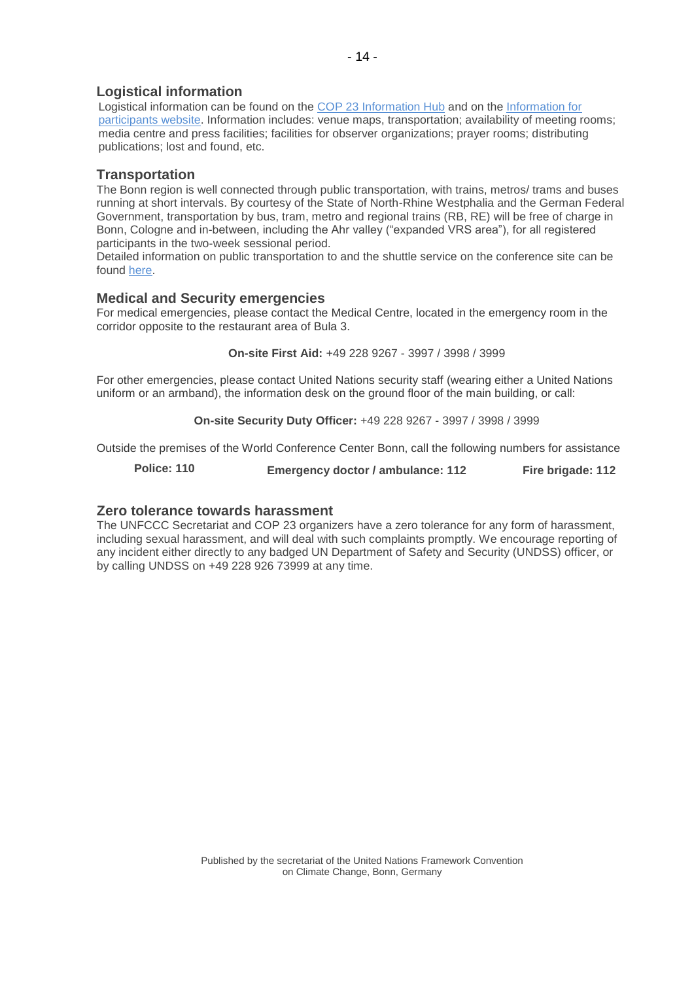# **Logistical information**

Logistical information can be found on the [COP 23 Information Hub](http://newsroom.unfccc.int/cop23bonninformationhub/) and on the Information for [participants website.](https://cop23.unfccc.int/info-a-z) Information includes: venue maps, transportation; availability of meeting rooms; media centre and press facilities; facilities for observer organizations; prayer rooms; distributing publications; lost and found, etc.

#### **Transportation**

The Bonn region is well connected through public transportation, with trains, metros/ trams and buses running at short intervals. By courtesy of the State of North-Rhine Westphalia and the German Federal Government, transportation by bus, tram, metro and regional trains (RB, RE) will be free of charge in Bonn, Cologne and in-between, including the Ahr valley ("expanded VRS area"), for all registered participants in the two-week sessional period.

Detailed information on public transportation to and the shuttle service on the conference site can be found [here.](http://newsroom.unfccc.int/cop23bonninformationhub/cop23-information-hub-accommodation-and-transport/)

#### **Medical and Security emergencies**

For medical emergencies, please contact the Medical Centre, located in the emergency room in the corridor opposite to the restaurant area of Bula 3.

**On-site First Aid:** +49 228 9267 - 3997 / 3998 / 3999

For other emergencies, please contact United Nations security staff (wearing either a United Nations uniform or an armband), the information desk on the ground floor of the main building, or call:

**On-site Security Duty Officer:** +49 228 9267 - 3997 / 3998 / 3999

Outside the premises of the World Conference Center Bonn, call the following numbers for assistance

**Police: 110 Emergency doctor / ambulance: 112 Fire brigade: 112**

#### **Zero tolerance towards harassment**

The UNFCCC Secretariat and COP 23 organizers have a zero tolerance for any form of harassment, including sexual harassment, and will deal with such complaints promptly. We encourage reporting of any incident either directly to any badged UN Department of Safety and Security (UNDSS) officer, or by calling UNDSS on +49 228 926 73999 at any time.